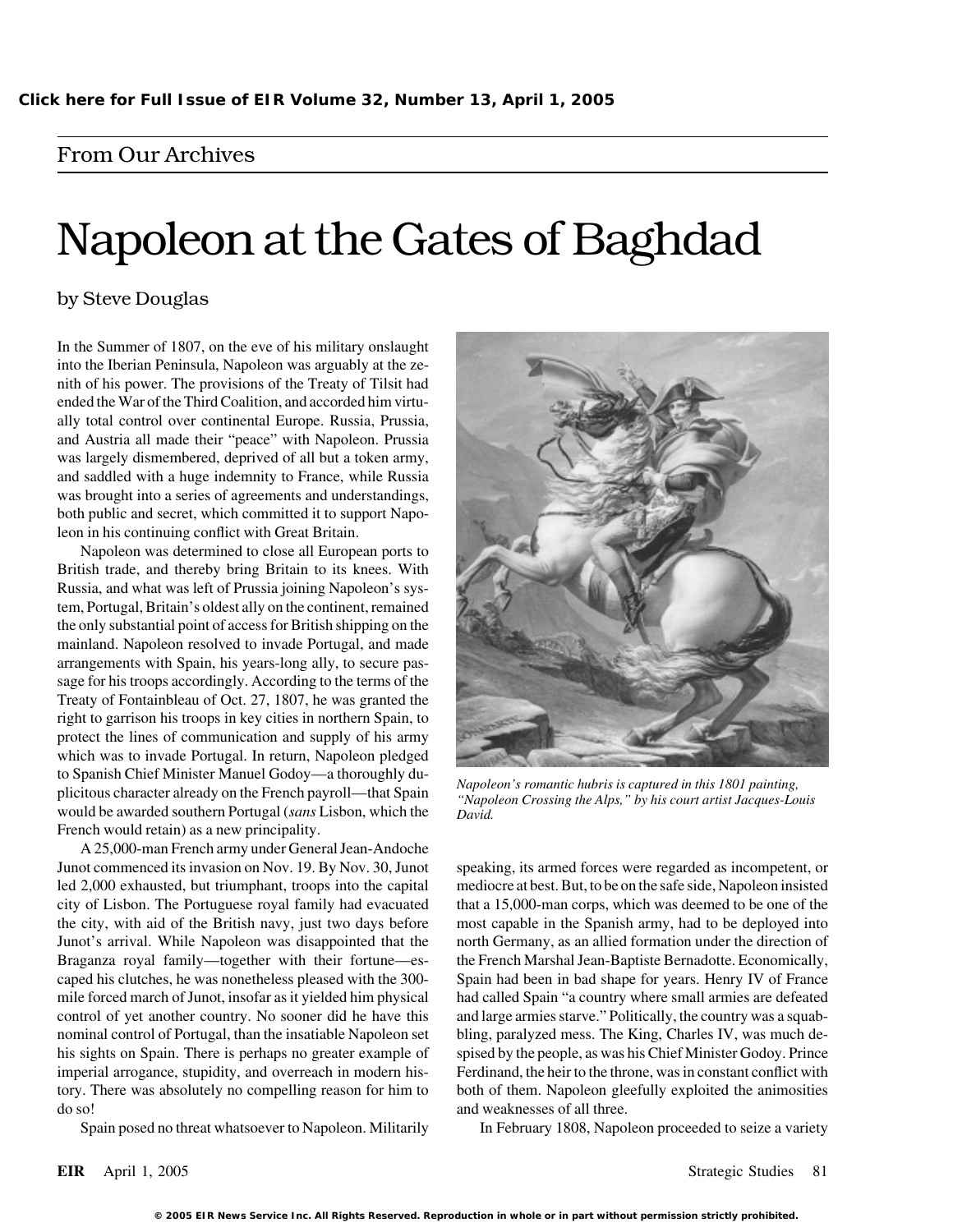## From Our Archives

# Napoleon at the Gates of Baghdad

## by Steve Douglas

In the Summer of 1807, on the eve of his military onslaught into the Iberian Peninsula, Napoleon was arguably at the zenith of his power. The provisions of the Treaty of Tilsit had ended the War of the Third Coalition, and accorded him virtually total control over continental Europe. Russia, Prussia, and Austria all made their "peace" with Napoleon. Prussia was largely dismembered, deprived of all but a token army, and saddled with a huge indemnity to France, while Russia was brought into a series of agreements and understandings, both public and secret, which committed it to support Napoleon in his continuing conflict with Great Britain.

Napoleon was determined to close all European ports to British trade, and thereby bring Britain to its knees. With Russia, and what was left of Prussia joining Napoleon's system, Portugal, Britain's oldest ally on the continent, remained the only substantial point of access for British shipping on the mainland. Napoleon resolved to invade Portugal, and made arrangements with Spain, his years-long ally, to secure passage for his troops accordingly. According to the terms of the Treaty of Fontainbleau of Oct. 27, 1807, he was granted the right to garrison his troops in key cities in northern Spain, to protect the lines of communication and supply of his army which was to invade Portugal. In return, Napoleon pledged to Spanish Chief Minister Manuel Godoy—a thoroughly du-<br>plicitous character already on the French payroll—that Spain<br>would be awarded southern Portugal (sans Lisbon, which the<br>pavid.<br>David. French would retain) as a new principality.

A 25,000-man French army under General Jean-Andoche Junot commenced its invasion on Nov. 19. By Nov. 30, Junot speaking, its armed forces were regarded as incompetent, or led 2,000 exhausted, but triumphant, troops into the capital mediocre at best. But, to be on the safe side, Napoleon insisted the city, with aid of the British navy, just two days before most capable in the Spanish army, had to be deployed into Braganza royal family—together with their fortune—es- the French Marshal Jean-Baptiste Bernadotte. Economically, caped his clutches, he was nonetheless pleased with the 300- Spain had been in bad shape for years. Henry IV of France control of yet another country. No sooner did he have this and large armies starve." Politically, the country was a squabnominal control of Portugal, than the insatiable Napoleon set bling, paralyzed mess. The King, Charles IV, was much dehis sights on Spain. There is perhaps no greater example of spised by the people, as was his Chief Minister Godoy. Prince imperial arrogance, stupidity, and overreach in modern his- Ferdinand, the heir to the throne, was in constant conflict with tory. There was absolutely no compelling reason for him to both of them. Napoleon gleefully exploited the animosities do so! and weaknesses of all three.



city of Lisbon. The Portuguese royal family had evacuated that a 15,000-man corps, which was deemed to be one of the Junot's arrival. While Napoleon was disappointed that the north Germany, as an allied formation under the direction of mile forced march of Junot, insofar as it yielded him physical had called Spain "a country where small armies are defeated

Spain posed no threat whatsoever to Napoleon. Militarily In February 1808, Napoleon proceeded to seize a variety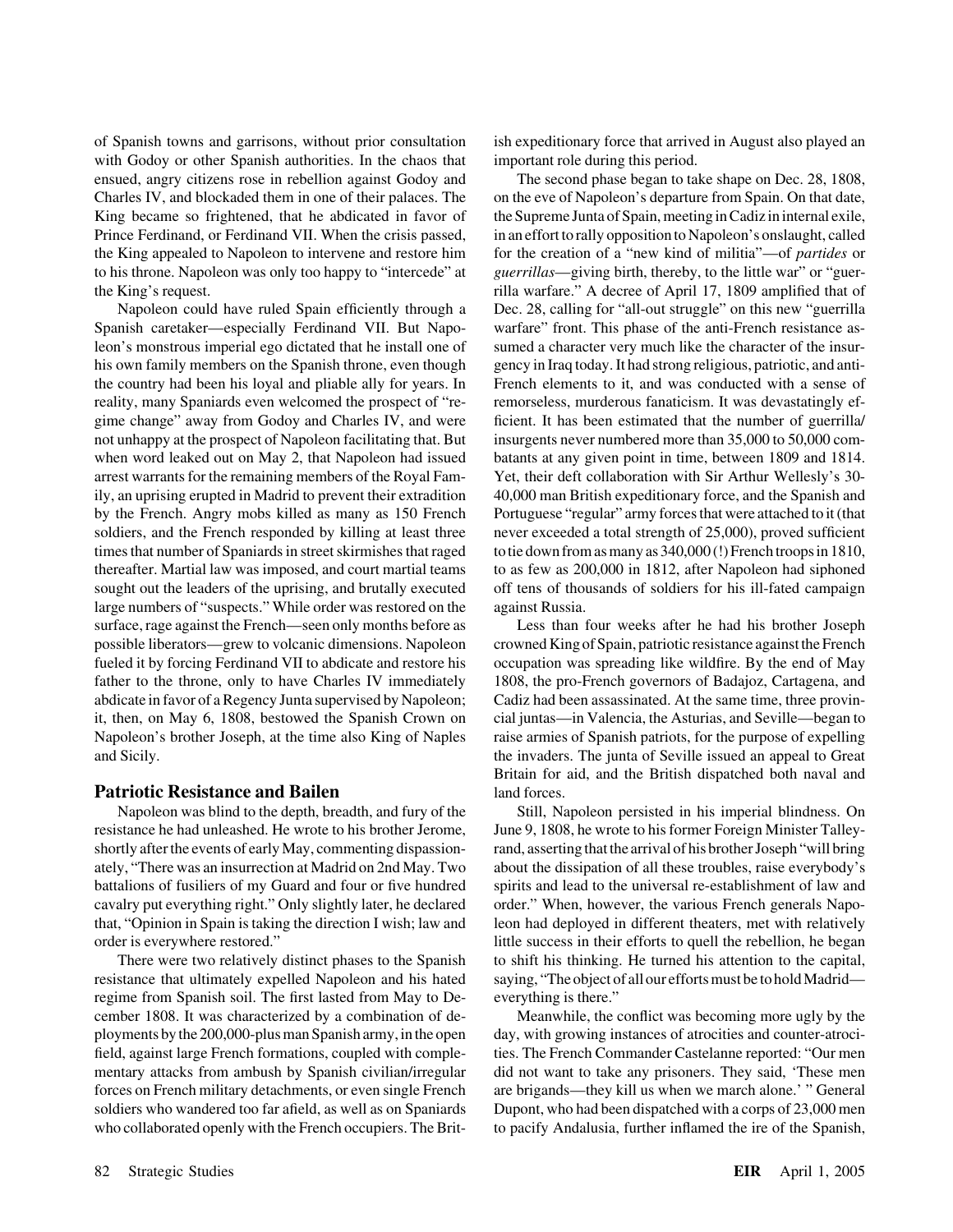of Spanish towns and garrisons, without prior consultation ish expeditionary force that arrived in August also played an with Godoy or other Spanish authorities. In the chaos that important role during this period. ensued, angry citizens rose in rebellion against Godoy and The second phase began to take shape on Dec. 28, 1808, Charles IV, and blockaded them in one of their palaces. The on the eve of Napoleon's departure from Spain. On that date, King became so frightened, that he abdicated in favor of the Supreme Junta of Spain, meeting in Cadiz in internal exile, Prince Ferdinand, or Ferdinand VII. When the crisis passed, in an effort to rally opposition to Napoleon's onslaught, called the King appealed to Napoleon to intervene and restore him for the creation of a "new kind of militia"—of *partides* or to his throne. Napoleon was only too happy to "intercede" at *guerrillas*—giving birth, thereby, to the little war" or "guer-

Spanish caretaker—especially Ferdinand VII. But Napo- warfare" front. This phase of the anti-French resistance asleon's monstrous imperial ego dictated that he install one of sumed a character very much like the character of the insurhis own family members on the Spanish throne, even though gency in Iraq today. It had strong religious, patriotic, and antithe country had been his loyal and pliable ally for years. In French elements to it, and was conducted with a sense of reality, many Spaniards even welcomed the prospect of "re- remorseless, murderous fanaticism. It was devastatingly efgime change" away from Godoy and Charles IV, and were ficient. It has been estimated that the number of guerrilla/ not unhappy at the prospect of Napoleon facilitating that. But insurgents never numbered more than 35,000 to 50,000 comwhen word leaked out on May 2, that Napoleon had issued batants at any given point in time, between 1809 and 1814. arrest warrants for the remaining members of the Royal Fam- Yet, their deft collaboration with Sir Arthur Wellesly's 30 ily, an uprising erupted in Madrid to prevent their extradition 40,000 man British expeditionary force, and the Spanish and by the French. Angry mobs killed as many as 150 French Portuguese "regular" army forces that were attached to it (that soldiers, and the French responded by killing at least three never exceeded a total strength of 25,000), proved sufficient times that number of Spaniards in street skirmishes that raged to tie down from as many as  $340,000$  (!) French troops in 1810, thereafter. Martial law was imposed, and court martial teams to as few as 200,000 in 1812, after Napoleon had siphoned sought out the leaders of the uprising, and brutally executed off tens of thousands of soldiers for his ill-fated campaign large numbers of "suspects." While order was restored on the against Russia. surface, rage against the French—seen only months before as Less than four weeks after he had his brother Joseph possible liberators—grew to volcanic dimensions. Napoleon crowned King of Spain, patriotic resistance against the French fueled it by forcing Ferdinand VII to abdicate and restore his occupation was spreading like wildfire. By the end of May father to the throne, only to have Charles IV immediately 1808, the pro-French governors of Badajoz, Cartagena, and abdicate in favor of a Regency Junta supervised by Napoleon; Cadiz had been assassinated. At the same time, three provinit, then, on May 6, 1808, bestowed the Spanish Crown on cial juntas—in Valencia, the Asturias, and Seville—began to Napoleon's brother Joseph, at the time also King of Naples raise armies of Spanish patriots, for the purpose of expelling and Sicily. the invaders. The junta of Seville issued an appeal to Great

## **Patriotic Resistance and Bailen** and **Patriotic Resistance and Bailen**

resistance he had unleashed. He wrote to his brother Jerome, June 9, 1808, he wrote to his former Foreign Minister Talleycavalry put everything right." Only slightly later, he declared order." When, however, the various French generals Napothat, "Opinion in Spain is taking the direction I wish; law and leon had deployed in different theaters, met with relatively

resistance that ultimately expelled Napoleon and his hated saying, "The object of all our efforts must be to hold Madrid regime from Spanish soil. The first lasted from May to De- everything is there." cember 1808. It was characterized by a combination of de- Meanwhile, the conflict was becoming more ugly by the ployments by the 200,000-plus man Spanish army, in the open day, with growing instances of atrocities and counter-atrocifield, against large French formations, coupled with comple- ties. The French Commander Castelanne reported: "Our men mentary attacks from ambush by Spanish civilian/irregular did not want to take any prisoners. They said, 'These men forces on French military detachments, or even single French are brigands—they kill us when we march alone.' " General soldiers who wandered too far afield, as well as on Spaniards Dupont, who had been dispatched with a corps of 23,000 men

the King's request. rilla warfare." A decree of April 17, 1809 amplified that of Napoleon could have ruled Spain efficiently through a Dec. 28, calling for "all-out struggle" on this new "guerrilla

Britain for aid, and the British dispatched both naval and

Napoleon was blind to the depth, breadth, and fury of the Still, Napoleon persisted in his imperial blindness. On shortly after the events of early May, commenting dispassion- rand, asserting that the arrival of his brother Joseph "will bring ately, "There was an insurrection at Madrid on 2nd May. Two about the dissipation of all these troubles, raise everybody's battalions of fusiliers of my Guard and four or five hundred spirits and lead to the universal re-establishment of law and order is everywhere restored." little success in their efforts to quell the rebellion, he began There were two relatively distinct phases to the Spanish to shift his thinking. He turned his attention to the capital,

who collaborated openly with the French occupiers. The Brit- to pacify Andalusia, further inflamed the ire of the Spanish,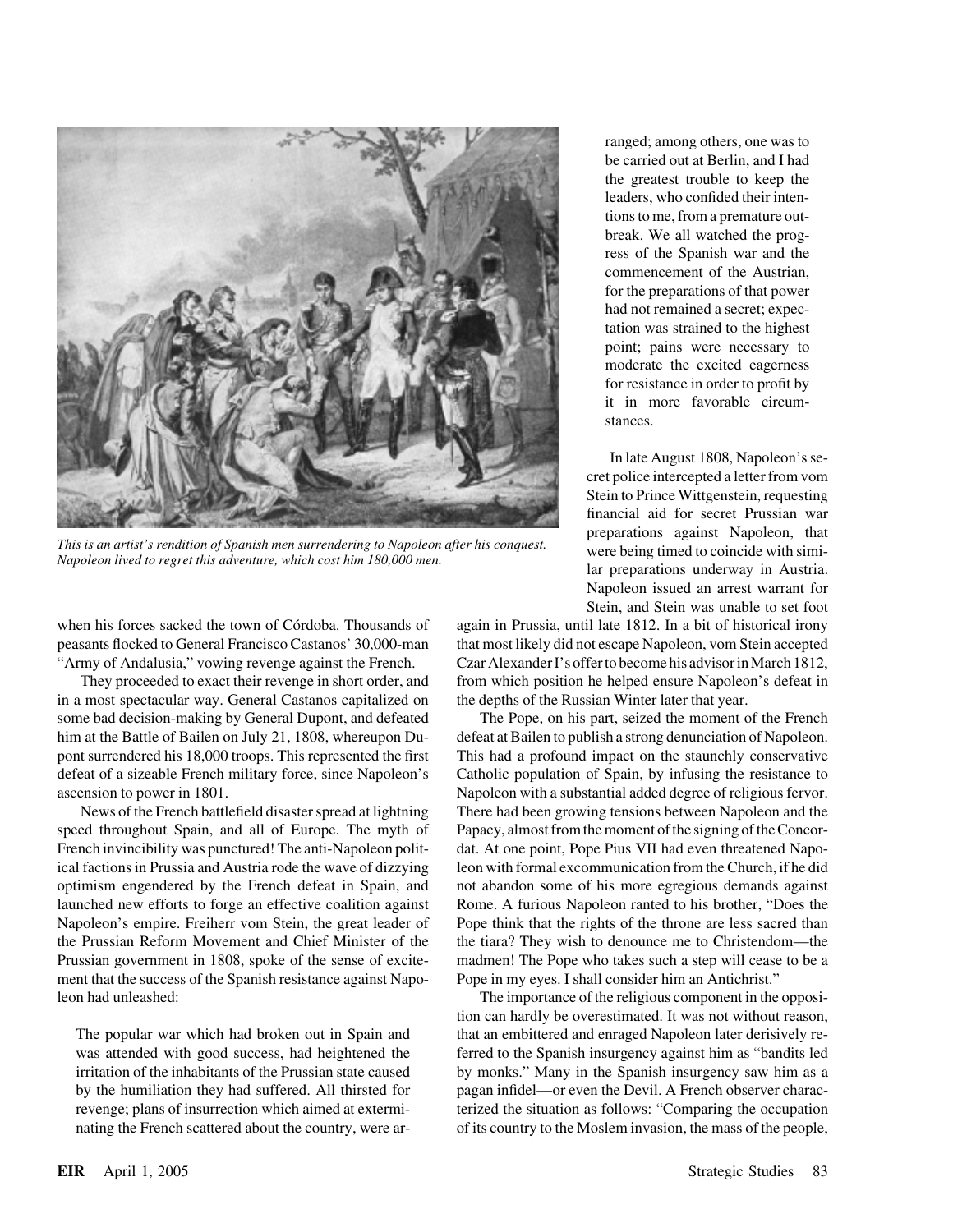

This is an artist's rendition of Spanish men surrendering to Napoleon after his conquest.<br>Napoleon lived to regret this adventure, which cost him 180,000 men.<br>lar preparations underway in Austria.

peasants flocked to General Francisco Castanos' 30,000-man that most likely did not escape Napoleon, vom Stein accepted

in a most spectacular way. General Castanos capitalized on the depths of the Russian Winter later that year. some bad decision-making by General Dupont, and defeated The Pope, on his part, seized the moment of the French him at the Battle of Bailen on July 21, 1808, whereupon Du-<br>defeat at Bailen to publish a strong denunciation of Napoleon. pont surrendered his 18,000 troops. This represented the first This had a profound impact on the staunchly conservative defeat of a sizeable French military force, since Napoleon's Catholic population of Spain, by infusing the resistance to ascension to power in 1801. Napoleon with a substantial added degree of religious fervor.

speed throughout Spain, and all of Europe. The myth of Papacy, almost from the moment of the signing of the Concor-French invincibility was punctured! The anti-Napoleon polit-<br>dat. At one point, Pope Pius VII had even threatened Napoical factions in Prussia and Austria rode the wave of dizzying leon with formal excommunication from the Church, if he did optimism engendered by the French defeat in Spain, and not abandon some of his more egregious demands against launched new efforts to forge an effective coalition against Rome. A furious Napoleon ranted to his brother, "Does the Napoleon's empire. Freiherr vom Stein, the great leader of Pope think that the rights of the throne are less sacred than the Prussian Reform Movement and Chief Minister of the the tiara? They wish to denounce me to Christendom—the Prussian government in 1808, spoke of the sense of excite- madmen! The Pope who takes such a step will cease to be a ment that the success of the Spanish resistance against Napo- Pope in my eyes. I shall consider him an Antichrist." leon had unleashed: The importance of the religious component in the opposi-

ranged; among others, one was to be carried out at Berlin, and I had the greatest trouble to keep the leaders, who confided their intentions to me, from a premature outbreak. We all watched the progress of the Spanish war and the commencement of the Austrian, for the preparations of that power had not remained a secret; expectation was strained to the highest point; pains were necessary to moderate the excited eagerness for resistance in order to profit by it in more favorable circumstances.

In late August 1808, Napoleon's secret police intercepted a letter from vom Stein to Prince Wittgenstein, requesting financial aid for secret Prussian war Napoleon issued an arrest warrant for Stein, and Stein was unable to set foot

when his forces sacked the town of Córdoba. Thousands of again in Prussia, until late 1812. In a bit of historical irony "Army of Andalusia," vowing revenge against the French. Czar Alexander I's offer to become his advisor in March 1812, They proceeded to exact their revenge in short order, and from which position he helped ensure Napoleon's defeat in

News of the French battlefield disaster spread at lightning There had been growing tensions between Napoleon and the

tion can hardly be overestimated. It was not without reason, The popular war which had broken out in Spain and that an embittered and enraged Napoleon later derisively rewas attended with good success, had heightened the ferred to the Spanish insurgency against him as "bandits led irritation of the inhabitants of the Prussian state caused by monks." Many in the Spanish insurgency saw him as a by the humiliation they had suffered. All thirsted for pagan infidel—or even the Devil. A French observer characrevenge; plans of insurrection which aimed at extermi- terized the situation as follows: "Comparing the occupation nating the French scattered about the country, were ar- of its country to the Moslem invasion, the mass of the people,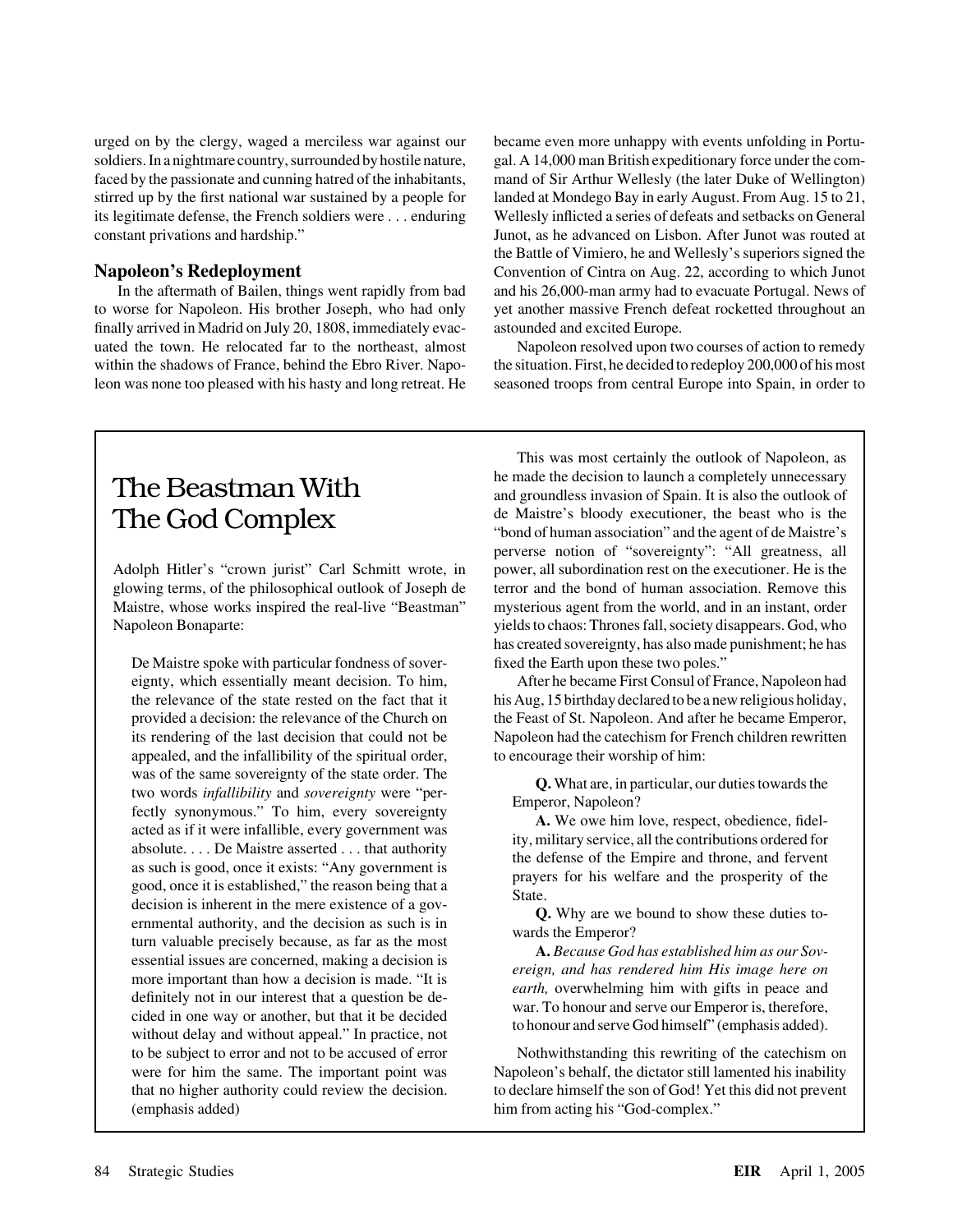urged on by the clergy, waged a merciless war against our became even more unhappy with events unfolding in Portu-

finally arrived in Madrid on July 20, 1808, immediately evac- astounded and excited Europe. uated the town. He relocated far to the northeast, almost Napoleon resolved upon two courses of action to remedy within the shadows of France, behind the Ebro River. Napo-<br>the situation. First, he decided to redeploy 200,000 of his most leon was none too pleased with his hasty and long retreat. He seasoned troops from central Europe into Spain, in order to

soldiers. In a nightmare country, surrounded by hostile nature, gal. A 14,000 man British expeditionary force under the comfaced by the passionate and cunning hatred of the inhabitants, mand of Sir Arthur Wellesly (the later Duke of Wellington) stirred up by the first national war sustained by a people for landed at Mondego Bay in early August. From Aug. 15 to 21, its legitimate defense, the French soldiers were . . . enduring Wellesly inflicted a series of defeats and setbacks on General constant privations and hardship." Junot, as he advanced on Lisbon. After Junot was routed at the Battle of Vimiero, he and Wellesly's superiors signed the **Napoleon's Redeployment** Convention of Cintra on Aug. 22, according to which Junot In the aftermath of Bailen, things went rapidly from bad and his 26,000-man army had to evacuate Portugal. News of to worse for Napoleon. His brother Joseph, who had only yet another massive French defeat rocketted throughout an

Adolph Hitler's "crown jurist" Carl Schmitt wrote, in power, all subordination rest on the executioner. He is the

De Maistre spoke with particular fondness of sover- fixed the Earth upon these two poles." appealed, and the infallibility of the spiritual order, to encourage their worship of him: was of the same sovereignty of the state order. The<br>
two words *infallibility* and *sovereignty* were "per-<br>
fectly synonynous." To him, every soverening was<br>
acted as if it were infallible, every soverening was<br>
absolute (emphasis added) him from acting his "God-complex."

This was most certainly the outlook of Napoleon, as The Beastman With **Exercise 19** he made the decision to launch a completely unnecessary and groundless invasion of Spain. It is also the outlook of The God Complex de Maistre's bloody executioner, the beast who is the "bond of human association" and the agent of de Maistre's perverse notion of "sovereignty": "All greatness, all glowing terms, of the philosophical outlook of Joseph de terror and the bond of human association. Remove this Maistre, whose works inspired the real-live "Beastman" mysterious agent from the world, and in an instant, order Napoleon Bonaparte: yields to chaos: Thrones fall, society disappears. God, who has created sovereignty, has also made punishment; he has

eignty, which essentially meant decision. To him, After he became First Consul of France, Napoleon had the relevance of the state rested on the fact that it his Aug, 15 birthday declared to be a new religious holiday, provided a decision: the relevance of the Church on the Feast of St. Napoleon. And after he became Emperor, its rendering of the last decision that could not be Napoleon had the catechism for French children rewritten

to be subject to error and not to be accused of error Nothwithstanding this rewriting of the catechism on were for him the same. The important point was Napoleon's behalf, the dictator still lamented his inability that no higher authority could review the decision. to declare himself the son of God! Yet this did not prevent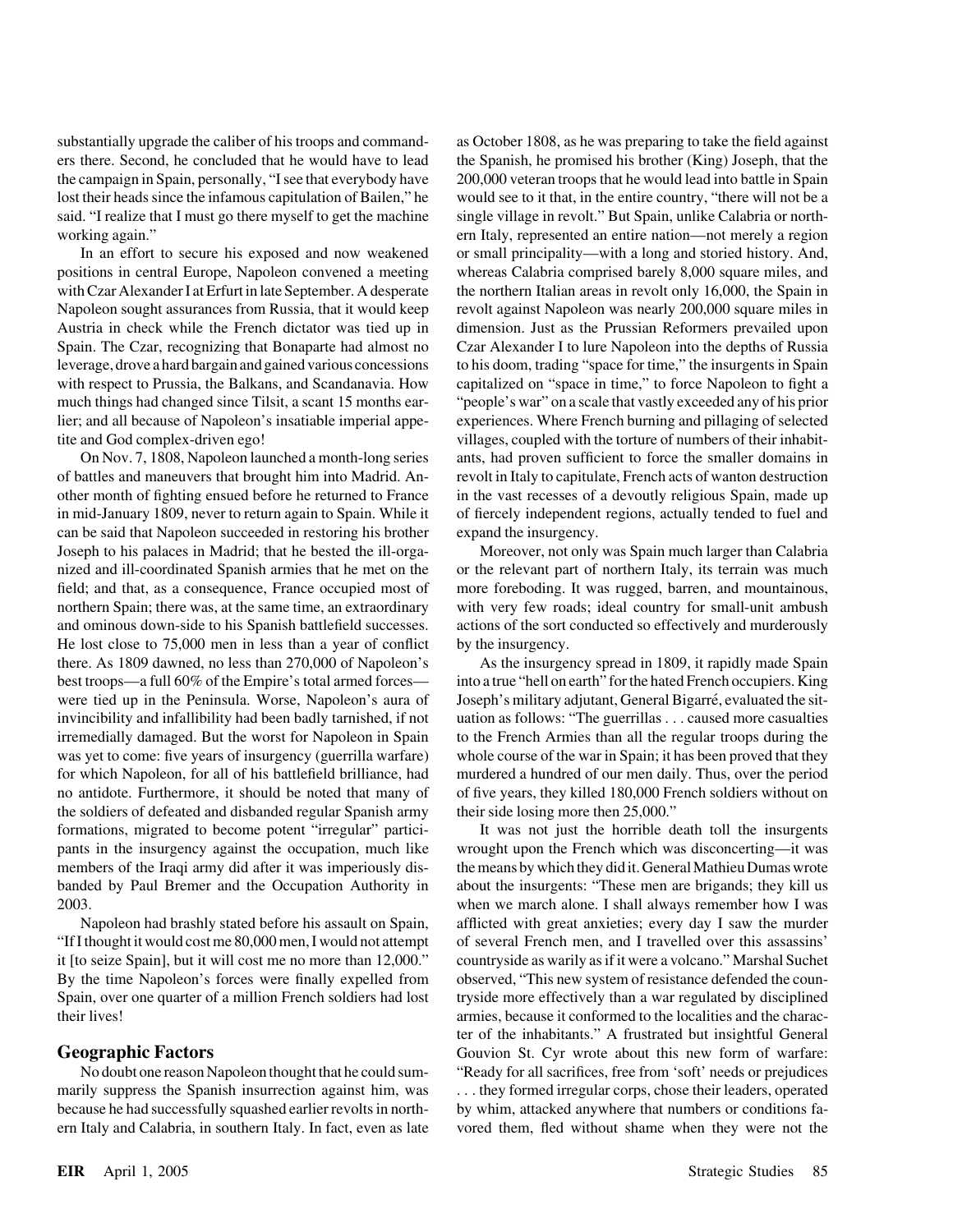leverage, drove a hard bargain and gained various concessions to his doom, trading "space for time," the insurgents in Spain tite and God complex-driven ego! villages, coupled with the torture of numbers of their inhabit-

of battles and maneuvers that brought him into Madrid. An- revolt in Italy to capitulate, French acts of wanton destruction other month of fighting ensued before he returned to France in the vast recesses of a devoutly religious Spain, made up in mid-January 1809, never to return again to Spain. While it of fiercely independent regions, actually tended to fuel and can be said that Napoleon succeeded in restoring his brother expand the insurgency. Joseph to his palaces in Madrid; that he bested the ill-orga- Moreover, not only was Spain much larger than Calabria nized and ill-coordinated Spanish armies that he met on the or the relevant part of northern Italy, its terrain was much field; and that, as a consequence, France occupied most of more foreboding. It was rugged, barren, and mountainous, northern Spain; there was, at the same time, an extraordinary with very few roads; ideal country for small-unit ambush and ominous down-side to his Spanish battlefield successes. actions of the sort conducted so effectively and murderously He lost close to 75,000 men in less than a year of conflict by the insurgency. there. As 1809 dawned, no less than 270,000 of Napoleon's As the insurgency spread in 1809, it rapidly made Spain best troops—a full 60% of the Empire's total armed forces— into a true "hell on earth" for the hated French occupiers. King were tied up in the Peninsula. Worse, Napoleon's aura of Joseph's military adjutant, General Bigarré, evaluated the sitinvincibility and infallibility had been badly tarnished, if not uation as follows: "The guerrillas . . . caused more casualties irremedially damaged. But the worst for Napoleon in Spain to the French Armies than all the regular troops during the was yet to come: five years of insurgency (guerrilla warfare) whole course of the war in Spain; it has been proved that they for which Napoleon, for all of his battlefield brilliance, had murdered a hundred of our men daily. Thus, over the period no antidote. Furthermore, it should be noted that many of of five years, they killed 180,000 French soldiers without on the soldiers of defeated and disbanded regular Spanish army their side losing more then 25,000." formations, migrated to become potent "irregular" partici- It was not just the horrible death toll the insurgents pants in the insurgency against the occupation, much like wrought upon the French which was disconcerting—it was members of the Iraqi army did after it was imperiously dis-<br>the means by which they did it. General Mathieu Dumas wrote banded by Paul Bremer and the Occupation Authority in about the insurgents: "These men are brigands; they kill us 2003. when we march alone. I shall always remember how I was

"If I thought it would cost me 80,000 men, I would not attempt of several French men, and I travelled over this assassins' By the time Napoleon's forces were finally expelled from observed, "This new system of resistance defended the countheir lives! armies, because it conformed to the localities and the charac-

marily suppress the Spanish insurrection against him, was . . . they formed irregular corps, chose their leaders, operated because he had successfully squashed earlier revolts in north- by whim, attacked anywhere that numbers or conditions faern Italy and Calabria, in southern Italy. In fact, even as late vored them, fled without shame when they were not the

substantially upgrade the caliber of his troops and command- as October 1808, as he was preparing to take the field against ers there. Second, he concluded that he would have to lead the Spanish, he promised his brother (King) Joseph, that the the campaign in Spain, personally, "I see that everybody have 200,000 veteran troops that he would lead into battle in Spain lost their heads since the infamous capitulation of Bailen," he would see to it that, in the entire country, "there will not be a said. "I realize that I must go there myself to get the machine single village in revolt." But Spain, unlike Calabria or northworking again." ern Italy, represented an entire nation—not merely a region In an effort to secure his exposed and now weakened or small principality—with a long and storied history. And, positions in central Europe, Napoleon convened a meeting whereas Calabria comprised barely 8,000 square miles, and with Czar Alexander I at Erfurt in late September. A desperate the northern Italian areas in revolt only 16,000, the Spain in Napoleon sought assurances from Russia, that it would keep revolt against Napoleon was nearly 200,000 square miles in Austria in check while the French dictator was tied up in dimension. Just as the Prussian Reformers prevailed upon Spain. The Czar, recognizing that Bonaparte had almost no Czar Alexander I to lure Napoleon into the depths of Russia with respect to Prussia, the Balkans, and Scandanavia. How capitalized on "space in time," to force Napoleon to fight a much things had changed since Tilsit, a scant 15 months ear- "people's war" on a scale that vastly exceeded any of his prior lier; and all because of Napoleon's insatiable imperial appe- experiences. Where French burning and pillaging of selected On Nov. 7, 1808, Napoleon launched a month-long series ants, had proven sufficient to force the smaller domains in

Napoleon had brashly stated before his assault on Spain, afflicted with great anxieties; every day I saw the murder it [to seize Spain], but it will cost me no more than 12,000." countryside as warily as if it were a volcano." Marshal Suchet Spain, over one quarter of a million French soldiers had lost tryside more effectively than a war regulated by disciplined ter of the inhabitants." A frustrated but insightful General **Geographic Factors** Gouvion St. Cyr wrote about this new form of warfare: No doubt one reason Napoleon thought that he could sum- "Ready for all sacrifices, free from 'soft' needs or prejudices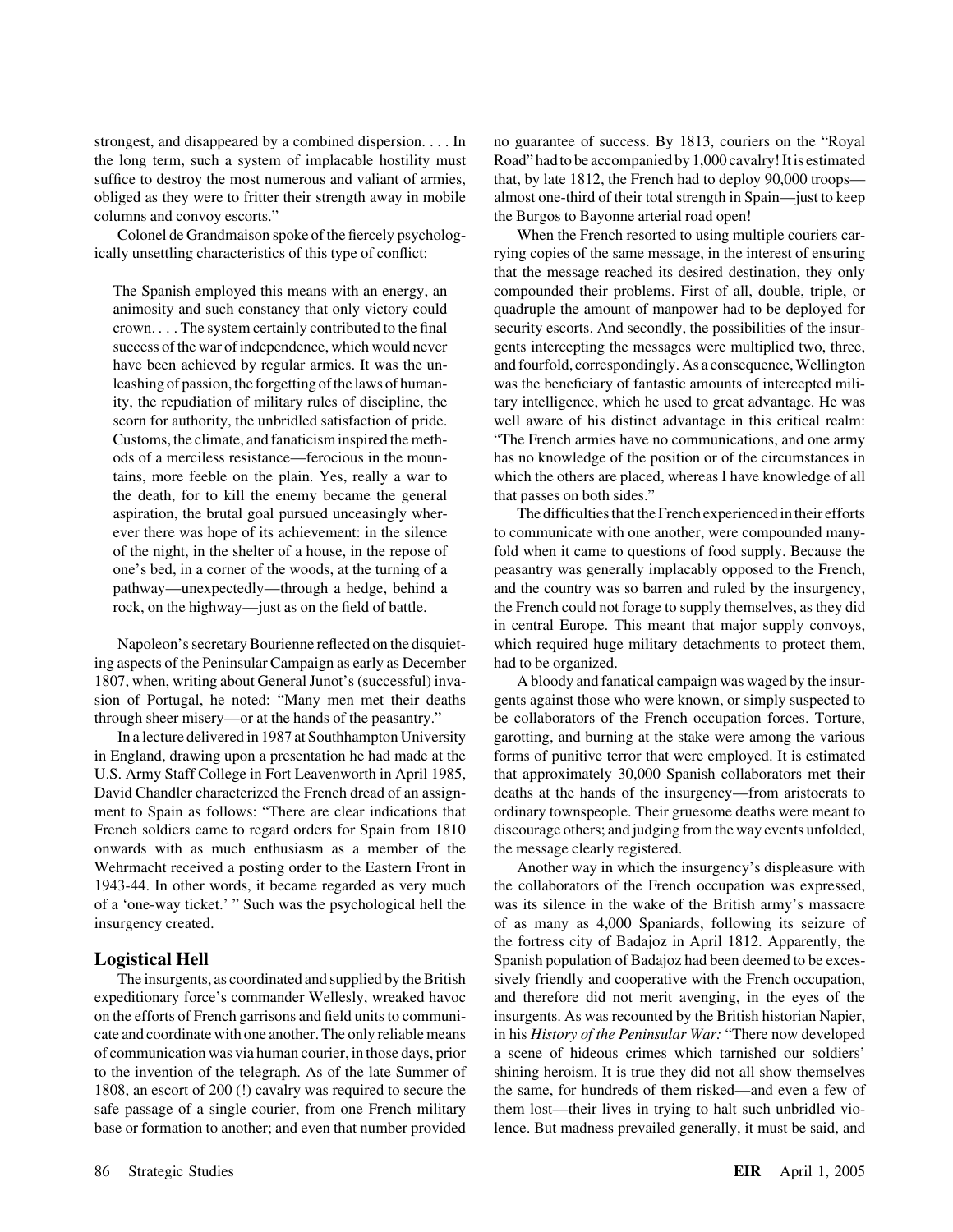the long term, such a system of implacable hostility must Road" had to be accompanied by 1,000 cavalry! It is estimated suffice to destroy the most numerous and valiant of armies, that, by late 1812, the French had to deploy 90,000 troops obliged as they were to fritter their strength away in mobile almost one-third of their total strength in Spain—just to keep columns and convoy escorts." the Burgos to Bayonne arterial road open!

the death, for to kill the enemy became the general that passes on both sides."

ing aspects of the Peninsular Campaign as early as December had to be organized. 1807, when, writing about General Junot's (successful) inva- A bloody and fanatical campaign was waged by the insur-

in England, drawing upon a presentation he had made at the forms of punitive terror that were employed. It is estimated U.S. Army Staff College in Fort Leavenworth in April 1985, that approximately 30,000 Spanish collaborators met their David Chandler characterized the French dread of an assign- deaths at the hands of the insurgency—from aristocrats to ment to Spain as follows: "There are clear indications that ordinary townspeople. Their gruesome deaths were meant to French soldiers came to regard orders for Spain from 1810 discourage others; and judging from the way events unfolded, onwards with as much enthusiasm as a member of the the message clearly registered. Wehrmacht received a posting order to the Eastern Front in Another way in which the insurgency's displeasure with 1943-44. In other words, it became regarded as very much the collaborators of the French occupation was expressed, of a 'one-way ticket.' " Such was the psychological hell the was its silence in the wake of the British army's massacre insurgency created. of as many as 4,000 Spaniards, following its seizure of

expeditionary force's commander Wellesly, wreaked havoc and therefore did not merit avenging, in the eyes of the on the efforts of French garrisons and field units to communi- insurgents. As was recounted by the British historian Napier, cate and coordinate with one another. The only reliable means in his *History of the Peninsular War:* "There now developed of communication was via human courier, in those days, prior a scene of hideous crimes which tarnished our soldiers' to the invention of the telegraph. As of the late Summer of shining heroism. It is true they did not all show themselves 1808, an escort of 200 (!) cavalry was required to secure the the same, for hundreds of them risked—and even a few of safe passage of a single courier, from one French military them lost—their lives in trying to halt such unbridled viobase or formation to another; and even that number provided lence. But madness prevailed generally, it must be said, and

strongest, and disappeared by a combined dispersion. . . In no guarantee of success. By 1813, couriers on the "Royal"

Colonel de Grandmaison spoke of the fiercely psycholog- When the French resorted to using multiple couriers carically unsettling characteristics of this type of conflict: rying copies of the same message, in the interest of ensuring that the message reached its desired destination, they only The Spanish employed this means with an energy, an compounded their problems. First of all, double, triple, or animosity and such constancy that only victory could quadruple the amount of manpower had to be deployed for crown. . . . The system certainly contributed to the final security escorts. And secondly, the possibilities of the insursuccess of the war of independence, which would never gents intercepting the messages were multiplied two, three, have been achieved by regular armies. It was the un- and fourfold, correspondingly. As a consequence, Wellington leashing of passion, the forgetting of the laws of human- was the beneficiary of fantastic amounts of intercepted miliity, the repudiation of military rules of discipline, the tary intelligence, which he used to great advantage. He was scorn for authority, the unbridled satisfaction of pride. well aware of his distinct advantage in this critical realm: Customs, the climate, and fanaticism inspired the meth- "The French armies have no communications, and one army ods of a merciless resistance—ferocious in the moun- has no knowledge of the position or of the circumstances in tains, more feeble on the plain. Yes, really a war to which the others are placed, whereas I have knowledge of all

aspiration, the brutal goal pursued unceasingly wher- The difficulties that the French experienced in their efforts ever there was hope of its achievement: in the silence to communicate with one another, were compounded manyof the night, in the shelter of a house, in the repose of fold when it came to questions of food supply. Because the one's bed, in a corner of the woods, at the turning of a peasantry was generally implacably opposed to the French, pathway—unexpectedly—through a hedge, behind a and the country was so barren and ruled by the insurgency, rock, on the highway—just as on the field of battle. the French could not forage to supply themselves, as they did in central Europe. This meant that major supply convoys, Napoleon's secretary Bourienne reflected on the disquiet- which required huge military detachments to protect them,

sion of Portugal, he noted: "Many men met their deaths gents against those who were known, or simply suspected to through sheer misery—or at the hands of the peasantry." be collaborators of the French occupation forces. Torture, In a lecture delivered in 1987 at Southhampton University garotting, and burning at the stake were among the various

the fortress city of Badajoz in April 1812. Apparently, the **Logistical Hell** Spanish population of Badajoz had been deemed to be exces-The insurgents, as coordinated and supplied by the British sively friendly and cooperative with the French occupation,